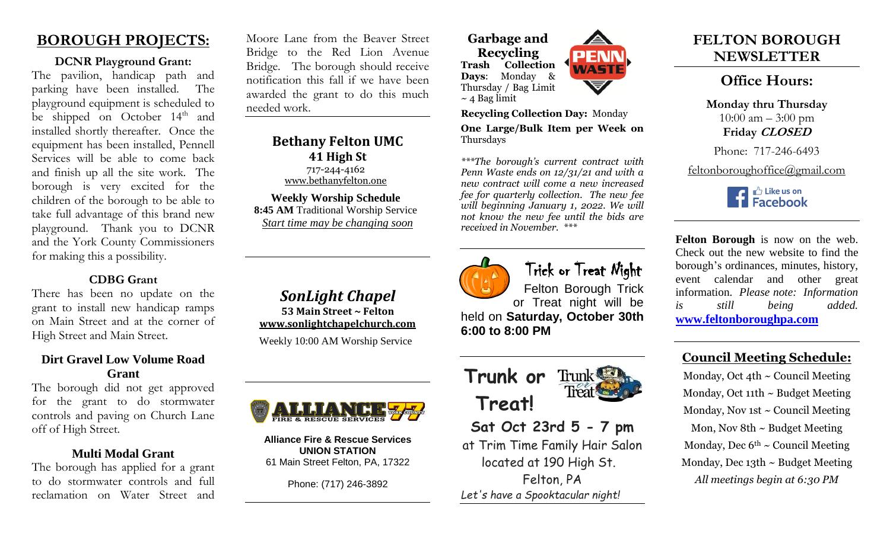# **BOROUGH PROJECTS:**

### **DCNR Playground Grant:**

The pavilion, handicap path and parking have been installed. The playground equipment is scheduled to be shipped on October  $14<sup>th</sup>$  and installed shortly thereafter. Once the equipment has been installed, Pennell Services will be able to come back and finish up all the site work. The borough is very excited for the children of the borough to be able to take full advantage of this brand new playground. Thank you to DCNR and the York County Commissioners for making this a possibility.

## **CDBG Grant**

There has been no update on the grant to install new handicap ramps on Main Street and at the corner of High Street and Main Street.

## **Dirt Gravel Low Volume Road Grant**

The borough did not get approved for the grant to do stormwater controls and paving on Church Lane off of High Street.

## **Multi Modal Grant**

The borough has applied for a grant to do stormwater controls and full reclamation on Water Street and

Moore Lane from the Beaver Street Bridge to the Red Lion Avenue Bridge. The borough should receive notification this fall if we have been awarded the grant to do this much needed work.

> **Bethany Felton UMC 41 High St** 717-244-4162 [www.bethanyfelton.one](http://www.bethanyfelton.one/) **Weekly Worship Schedule**

**8:45 AM** Traditional Worship Service *Start time may be changing soon*

*SonLight Chapel*  **53 Main Street ~ Felton [www.sonlightchapelchurch.com](http://www.sonlightchapelchurch.com/)** Weekly 10:00 AM Worship Service



**Alliance Fire & Rescue Services UNION STATION** 61 Main Street Felton, PA, 17322

Phone: (717) 246-3892

**Garbage and Recycling Trash Collection Days**: Monday & Thursday / Bag Limit  $\sim$  4 Bag limit



**Recycling Collection Day:** Monday **One Large/Bulk Item per Week on**  Thursdays

*\*\*\*The borough's current contract with Penn Waste ends on 12/31/21 and with a new contract will come a new increased fee for quarterly collection. The new fee will beginning January 1, 2022. We will not know the new fee until the bids are received in November. \*\*\**



# Trick or Treat Night

Felton Borough Trick or Treat night will be held on **Saturday, October 30th 6:00 to 8:00 PM**



**Sat Oct 23rd 5 - 7 pm** at Trim Time Family Hair Salon located at 190 High St. Felton, PA *Let's have a Spooktacular night!* 

# **FELTON BOROUGH NEWSLETTER**

# **Office Hours:**

**Monday thru Thursday**   $10:00$  am  $-3:00$  pm **Friday CLOSED**

Phone: 717-246-6493

feltonboroughoffice@gmail.com



**Felton Borough** is now on the web. Check out the new website to find the borough's ordinances, minutes, history, event calendar and other great information. *Please note: Information is still being added.* **[www.feltonboroughpa.com](http://www.feltonboroughpa.com/)**

# **Council Meeting Schedule:**

Monday, Oct 4th  $\sim$  Council Meeting Monday, Oct 11th  $\sim$  Budget Meeting Monday, Nov 1st  $\sim$  Council Meeting Mon, Nov 8th  $\sim$  Budget Meeting Monday, Dec  $6<sup>th</sup> \sim$  Council Meeting Monday, Dec 13th ~ Budget Meeting *All meetings begin at 6:30 PM*